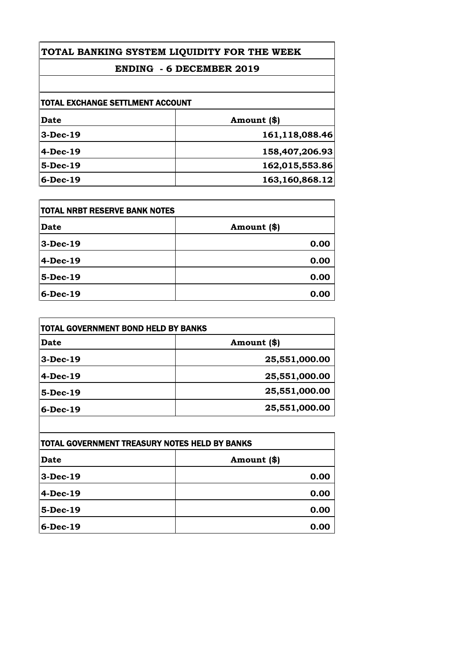# **TOTAL BANKING SYSTEM LIQUIDITY FOR THE WEEK**

## **ENDING - 6 DECEMBER 2019**

| TOTAL EXCHANGE SETTLMENT ACCOUNT |                |
|----------------------------------|----------------|
| Date                             | Amount (\$)    |
| $3-Dec-19$                       | 161,118,088.46 |
| $4-Dec-19$                       | 158,407,206.93 |
| 5-Dec-19                         | 162,015,553.86 |
| $6-Dec-19$                       | 163,160,868.12 |

| <b>TOTAL NRBT RESERVE BANK NOTES</b> |             |
|--------------------------------------|-------------|
| <b>Date</b>                          | Amount (\$) |
| $3-Dec-19$                           | 0.00        |
| 4-Dec-19                             | 0.00        |
| $5$ -Dec-19                          | 0.00        |
| $6$ -Dec-19                          | 0.00        |

| Date        | Amount (\$)   |
|-------------|---------------|
| $3-Dec-19$  | 25,551,000.00 |
| 4-Dec-19    | 25,551,000.00 |
| $5-Dec-19$  | 25,551,000.00 |
| $6$ -Dec-19 | 25,551,000.00 |

| TOTAL GOVERNMENT TREASURY NOTES HELD BY BANKS |             |
|-----------------------------------------------|-------------|
| Date                                          | Amount (\$) |
| $3-Dec-19$                                    | 0.00        |
| $4-Dec-19$                                    | 0.00        |
| 5-Dec-19                                      | 0.00        |
| $6$ -Dec-19                                   | 0.00        |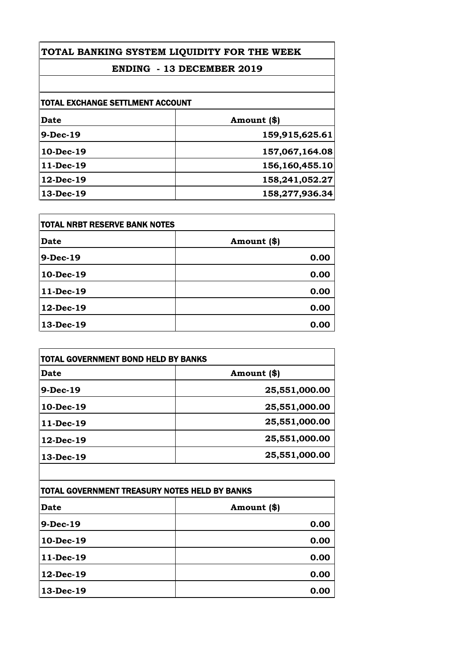# **TOTAL BANKING SYSTEM LIQUIDITY FOR THE WEEK**

## **ENDING - 13 DECEMBER 2019**

| TOTAL EXCHANGE SETTLMENT ACCOUNT |                |
|----------------------------------|----------------|
| Date                             | Amount (\$)    |
| 9-Dec-19                         | 159,915,625.61 |
| $10-Dec-19$                      | 157,067,164.08 |
| 11-Dec-19                        | 156,160,455.10 |
| 12-Dec-19                        | 158,241,052.27 |
| 13-Dec-19                        | 158,277,936.34 |
|                                  |                |

| <b>TOTAL NRBT RESERVE BANK NOTES</b> |             |
|--------------------------------------|-------------|
| <b>Date</b>                          | Amount (\$) |
| 9-Dec-19                             | 0.00        |
| 10-Dec-19                            | 0.00        |
| 11-Dec-19                            | 0.00        |
| 12-Dec-19                            | 0.00        |
| 13-Dec-19                            | 0.00        |

| <b>TOTAL GOVERNMENT BOND HELD BY BANKS</b> |               |
|--------------------------------------------|---------------|
| <b>Date</b>                                | Amount (\$)   |
| 9-Dec-19                                   | 25,551,000.00 |
| $10-Dec-19$                                | 25,551,000.00 |
| 11-Dec-19                                  | 25,551,000.00 |
| $12$ -Dec-19                               | 25,551,000.00 |
| 13-Dec-19                                  | 25,551,000.00 |
|                                            |               |

| TOTAL GOVERNMENT TREASURY NOTES HELD BY BANKS |             |
|-----------------------------------------------|-------------|
| <b>Date</b>                                   | Amount (\$) |
| 9-Dec-19                                      | 0.00        |
| 10-Dec-19                                     | 0.00        |
| 11-Dec-19                                     | 0.00        |
| 12-Dec-19                                     | 0.00        |
| 13-Dec-19                                     | 0.00        |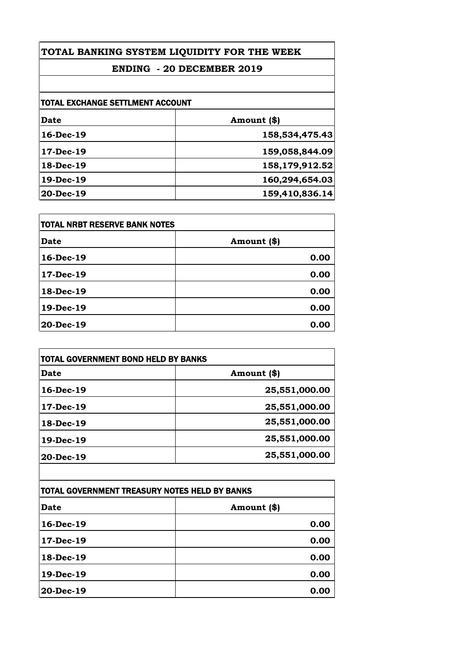## **TOTAL BANKING SYSTEM LIQUIDITY FOR THE WEEK**

## **ENDING - 20 DECEMBER 2019**

| <b>TOTAL EXCHANGE SETTLMENT ACCOUNT</b> |                |
|-----------------------------------------|----------------|
| Date                                    | Amount (\$)    |
| 16-Dec-19                               | 158,534,475.43 |
| $17-Dec-19$                             | 159,058,844.09 |
| 18-Dec-19                               | 158,179,912.52 |
| 19-Dec-19                               | 160,294,654.03 |
| $20-Dec-19$                             | 159,410,836.14 |
|                                         |                |

| <b>TOTAL NRBT RESERVE BANK NOTES</b> |             |
|--------------------------------------|-------------|
| <b>Date</b>                          | Amount (\$) |
| 16-Dec-19                            | 0.00        |
| 17-Dec-19                            | 0.00        |
| 18-Dec-19                            | 0.00        |
| 19-Dec-19                            | 0.00        |
| 20-Dec-19                            | 0.00        |

| <b>TOTAL GOVERNMENT BOND HELD BY BANKS</b> |               |
|--------------------------------------------|---------------|
| <b>Date</b>                                | Amount (\$)   |
| 16-Dec-19                                  | 25,551,000.00 |
| $17$ -Dec-19                               | 25,551,000.00 |
| 18-Dec-19                                  | 25,551,000.00 |
| 19-Dec-19                                  | 25,551,000.00 |
| 20-Dec-19                                  | 25,551,000.00 |

| <b>TOTAL GOVERNMENT TREASURY NOTES HELD BY BANKS</b> |             |
|------------------------------------------------------|-------------|
| <b>Date</b>                                          | Amount (\$) |
| 16-Dec-19                                            | 0.00        |
| 17-Dec-19                                            | 0.00        |
| 18-Dec-19                                            | 0.00        |
| 19-Dec-19                                            | 0.00        |
| 20-Dec-19                                            | 0.00        |